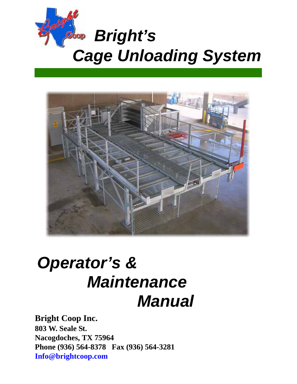



# *Operator's & Manual Maintenance*

## **Bright Coop Inc.**

**803 W. Seale St. Nacogdoches, TX 75964 Phone (936) 564-8378 Fax (936) 564-3281 Info@brightcoop.com**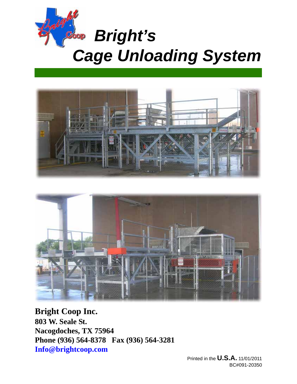





**Bright Coop Inc. 803 W. Seale St. Nacogdoches, TX 75964 Phone (936) 564-8378 Fax (936) 564-3281 Info@brightcoop.com**

> Printed in the **U.S.A.** 11/01/2011 BC#091-20350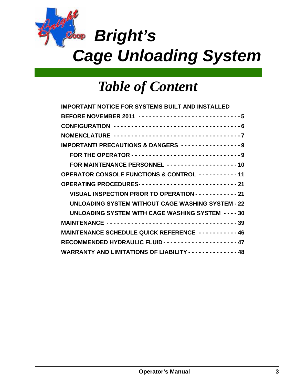

# *Table of Content*

| <b>IMPORTANT NOTICE FOR SYSTEMS BUILT AND INSTALLED</b>                     |
|-----------------------------------------------------------------------------|
| BEFORE NOVEMBER 2011 ------------------------------5                        |
|                                                                             |
| NOMENCLATURE -----------------------------------7                           |
| <b>IMPORTANT! PRECAUTIONS &amp; DANGERS ----------------9</b>               |
| FOR THE OPERATOR -------------------------------9                           |
| FOR MAINTENANCE PERSONNEL -------------------10                             |
| OPERATOR CONSOLE FUNCTIONS & CONTROL ----------11                           |
| OPERATING PROCEDURES---------------------------21                           |
| VISUAL INSPECTION PRIOR TO OPERATION - - - - - - - - - - - - 21             |
| <b>UNLOADING SYSTEM WITHOUT CAGE WASHING SYSTEM - 22</b>                    |
| UNLOADING SYSTEM WITH CAGE WASHING SYSTEM ---- 30                           |
|                                                                             |
| MAINTENANCE SCHEDULE QUICK REFERENCE -----------46                          |
|                                                                             |
| <b>WARRANTY AND LIMITATIONS OF LIABILITY - - - - - - - - - - - - - - 48</b> |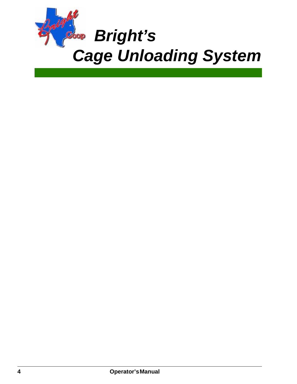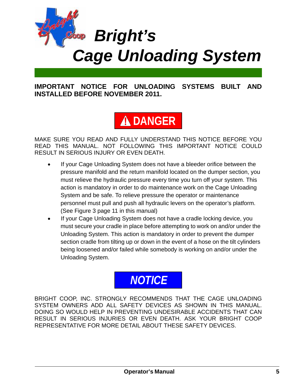

**IMPORTANT NOTICE FOR UNLOADING SYSTEMS BUILT AND INSTALLED BEFORE NOVEMBER 2011.**

## **DANGER**

MAKE SURE YOU READ AND FULLY UNDERSTAND THIS NOTICE BEFORE YOU READ THIS MANUAL. NOT FOLLOWING THIS IMPORTANT NOTICE COULD RESULT IN SERIOUS INJURY OR EVEN DEATH.

- If your Cage Unloading System does not have a bleeder orifice between the pressure manifold and the return manifold located on the dumper section, you must relieve the hydraulic pressure every time you turn off your system. This action is mandatory in order to do maintenance work on the Cage Unloading System and be safe. To relieve pressure the operator or maintenance personnel must pull and push all hydraulic levers on the operator's platform. (See Figure 3 page 11 in this manual)
- If your Cage Unloading System does not have a cradle locking device, you must secure your cradle in place before attempting to work on and/or under the Unloading System. This action is mandatory in order to prevent the dumper section cradle from tilting up or down in the event of a hose on the tilt cylinders being loosened and/or failed while somebody is working on and/or under the Unloading System.

## *NOTICE*

BRIGHT COOP, INC. STRONGLY RECOMMENDS THAT THE CAGE UNLOADING SYSTEM OWNERS ADD ALL SAFETY DEVICES AS SHOWN IN THIS MANUAL. DOING SO WOULD HELP IN PREVENTING UNDESIRABLE ACCIDENTS THAT CAN RESULT IN SERIOUS INJURIES OR EVEN DEATH. ASK YOUR BRIGHT COOP REPRESENTATIVE FOR MORE DETAIL ABOUT THESE SAFETY DEVICES.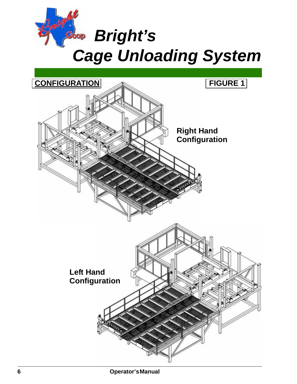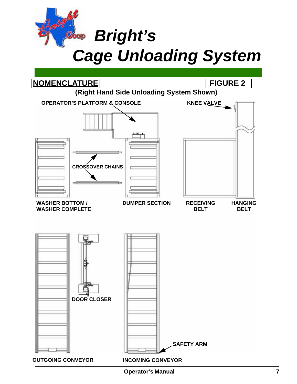*Cage Unloading System Bright's*

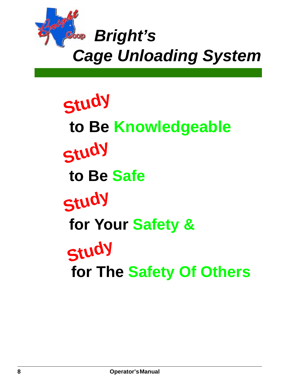

**Study Study Study to Be Knowledgeable to Be Safe for Your Safety & Study for The Safety Of Others**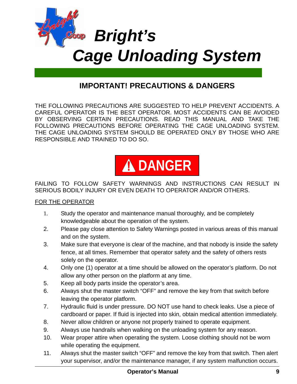

## **IMPORTANT! PRECAUTIONS & DANGERS**

THE FOLLOWING PRECAUTIONS ARE SUGGESTED TO HELP PREVENT ACCIDENTS. A CAREFUL OPERATOR IS THE BEST OPERATOR. MOST ACCIDENTS CAN BE AVOIDED BY OBSERVING CERTAIN PRECAUTIONS. READ THIS MANUAL AND TAKE THE FOLLOWING PRECAUTIONS BEFORE OPERATING THE CAGE UNLOADING SYSTEM. THE CAGE UNLOADING SYSTEM SHOULD BE OPERATED ONLY BY THOSE WHO ARE RESPONSIBLE AND TRAINED TO DO SO.



#### FAILING TO FOLLOW SAFETY WARNINGS AND INSTRUCTIONS CAN RESULT IN SERIOUS BODILY INJURY OR EVEN DEATH TO OPERATOR AND/OR OTHERS.

#### FOR THE OPERATOR

- 1. Study the operator and maintenance manual thoroughly, and be completely knowledgeable about the operation of the system.
- 2. Please pay close attention to Safety Warnings posted in various areas of this manual and on the system.
- 3. Make sure that everyone is clear of the machine, and that nobody is inside the safety fence, at all times. Remember that operator safety and the safety of others rests solely on the operator.
- 4. Only one (1) operator at a time should be allowed on the operator's platform. Do not allow any other person on the platform at any time.
- 5. Keep all body parts inside the operator's area.
- 6. Always shut the master switch "OFF" and remove the key from that switch before leaving the operator platform.
- 7. Hydraulic fluid is under pressure. DO NOT use hand to check leaks. Use a piece of cardboard or paper. If fluid is injected into skin, obtain medical attention immediately.
- 8. Never allow children or anyone not properly trained to operate equipment.
- 9. Always use handrails when walking on the unloading system for any reason.
- 10. Wear proper attire when operating the system. Loose clothing should not be worn while operating the equipment.
- 11. Always shut the master switch "OFF" and remove the key from that switch. Then alert your supervisor, and/or the maintenance manager, if any system malfunction occurs.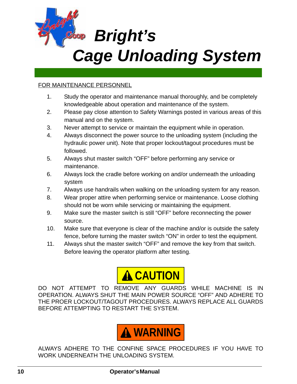

#### FOR MAINTENANCE PERSONNEL

- 1. Study the operator and maintenance manual thoroughly, and be completely knowledgeable about operation and maintenance of the system.
- 2. Please pay close attention to Safety Warnings posted in various areas of this manual and on the system.
- 3. Never attempt to service or maintain the equipment while in operation.
- 4. Always disconnect the power source to the unloading system (including the hydraulic power unit). Note that proper lockout/tagout procedures must be followed.
- 5. Always shut master switch "OFF" before performing any service or maintenance.
- 6. Always lock the cradle before working on and/or underneath the unloading system
- 7. Always use handrails when walking on the unloading system for any reason.
- 8. Wear proper attire when performing service or maintenance. Loose clothing should not be worn while servicing or maintaining the equipment.
- 9. Make sure the master switch is still "OFF" before reconnecting the power source.
- 10. Make sure that everyone is clear of the machine and/or is outside the safety fence, before turning the master switch "ON" in order to test the equipment.
- 11. Always shut the master switch "OFF" and remove the key from that switch. Before leaving the operator platform after testing.



DO NOT ATTEMPT TO REMOVE ANY GUARDS WHILE MACHINE IS IN OPERATION. ALWAYS SHUT THE MAIN POWER SOURCE "OFF" AND ADHERE TO THE PROER LOCKOUT/TAGOUT PROCEDURES. ALWAYS REPLACE ALL GUARDS BEFORE ATTEMPTING TO RESTART THE SYSTEM.



ALWAYS ADHERE TO THE CONFINE SPACE PROCEDURES IF YOU HAVE TO WORK UNDERNEATH THE UNLOADING SYSTEM.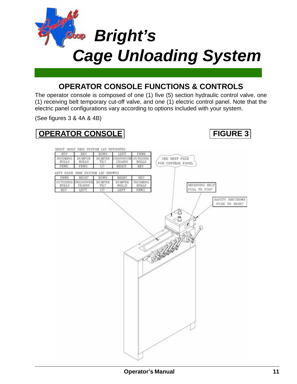

### **OPERATOR CONSOLE FUNCTIONS & CONTROLS**

The operator console is composed of one (1) five (5) section hydraulic control valve, one (1) receiving belt temporary cut-off valve, and one (1) electric control panel. Note that the electric panel configurations vary according to options included with your system.

(See figures 3 & 4A & 4B)

## **OPERATOR CONSOLE FIGURE 3**

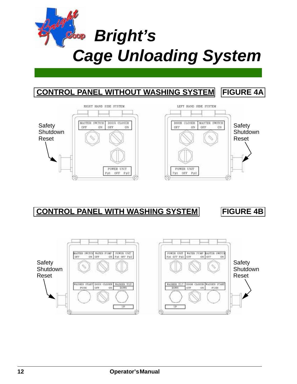



## **CONTROL PANEL WITH WASHING SYSTEM FIGURE 4B**

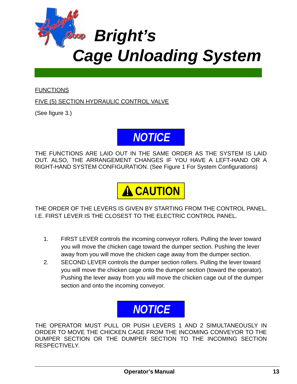

#### **FUNCTIONS**

FIVE (5) SECTION HYDRAULIC CONTROL VALVE

(See figure 3.)



THE FUNCTIONS ARE LAID OUT IN THE SAME ORDER AS THE SYSTEM IS LAID OUT. ALSO, THE ARRANGEMENT CHANGES IF YOU HAVE A LEFT-HAND OR A RIGHT-HAND SYSTEM CONFIGURATION. (See Figure 1 For System Configurations)

**A CAUTION** 

THE ORDER OF THE LEVERS IS GIVEN BY STARTING FROM THE CONTROL PANEL. I.E. FIRST LEVER IS THE CLOSEST TO THE ELECTRIC CONTROL PANEL.

- 1. FIRST LEVER controls the incoming conveyor rollers. Pulling the lever toward you will move the chicken cage toward the dumper section. Pushing the lever away from you will move the chicken cage away from the dumper section.
- 2. SECOND LEVER controls the dumper section rollers. Pulling the lever toward you will move the chicken cage onto the dumper section (toward the operator). Pushing the lever away from you will move the chicken cage out of the dumper section and onto the incoming conveyor.



THE OPERATOR MUST PULL OR PUSH LEVERS 1 AND 2 SIMULTANEOUSLY IN ORDER TO MOVE THE CHICKEN CAGE FROM THE INCOMING CONVEYOR TO THE DUMPER SECTION OR THE DUMPER SECTION TO THE INCOMING SECTION RESPECTIVELY.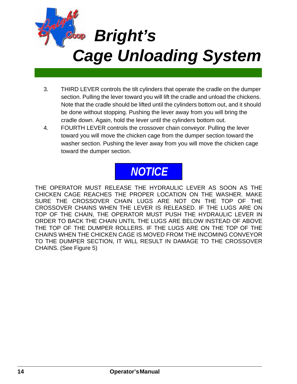

- 3. THIRD LEVER controls the tilt cylinders that operate the cradle on the dumper section. Pulling the lever toward you will lift the cradle and unload the chickens. Note that the cradle should be lifted until the cylinders bottom out, and it should be done without stopping. Pushing the lever away from you will bring the cradle down. Again, hold the lever until the cylinders bottom out.
- 4. FOURTH LEVER controls the crossover chain conveyor. Pulling the lever toward you will move the chicken cage from the dumper section toward the washer section. Pushing the lever away from you will move the chicken cage toward the dumper section.

## *NOTICE*

THE OPERATOR MUST RELEASE THE HYDRAULIC LEVER AS SOON AS THE CHICKEN CAGE REACHES THE PROPER LOCATION ON THE WASHER. MAKE SURE THE CROSSOVER CHAIN LUGS ARE NOT ON THE TOP OF THE CROSSOVER CHAINS WHEN THE LEVER IS RELEASED. IF THE LUGS ARE ON TOP OF THE CHAIN, THE OPERATOR MUST PUSH THE HYDRAULIC LEVER IN ORDER TO BACK THE CHAIN UNTIL THE LUGS ARE BELOW INSTEAD OF ABOVE THE TOP OF THE DUMPER ROLLERS. IF THE LUGS ARE ON THE TOP OF THE CHAINS WHEN THE CHICKEN CAGE IS MOVED FROM THE INCOMING CONVEYOR TO THE DUMPER SECTION, IT WILL RESULT IN DAMAGE TO THE CROSSOVER CHAINS. (See Figure 5)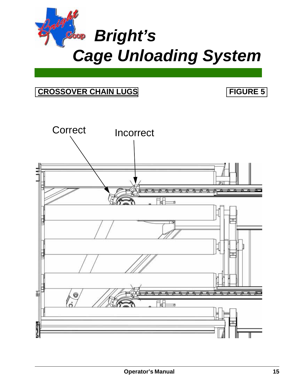

## **CROSSOVER CHAIN LUGS FIGURE 5**

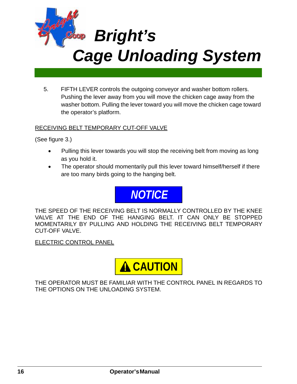

5. FIFTH LEVER controls the outgoing conveyor and washer bottom rollers. Pushing the lever away from you will move the chicken cage away from the washer bottom. Pulling the lever toward you will move the chicken cage toward the operator's platform.

#### RECEIVING BELT TEMPORARY CUT-OFF VALVE

(See figure 3.)

- Pulling this lever towards you will stop the receiving belt from moving as long as you hold it.
- The operator should momentarily pull this lever toward himself/herself if there are too many birds going to the hanging belt.



THE SPEED OF THE RECEIVING BELT IS NORMALLY CONTROLLED BY THE KNEE VALVE AT THE END OF THE HANGING BELT. IT CAN ONLY BE STOPPED MOMENTARILY BY PULLING AND HOLDING THE RECEIVING BELT TEMPORARY CUT-OFF VALVE.

ELECTRIC CONTROL PANEL



THE OPERATOR MUST BE FAMILIAR WITH THE CONTROL PANEL IN REGARDS TO THE OPTIONS ON THE UNLOADING SYSTEM.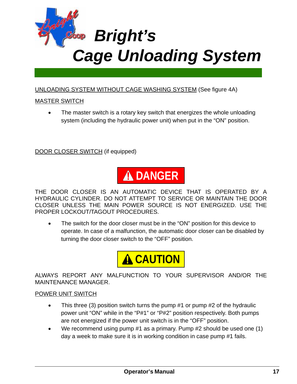

#### UNLOADING SYSTEM WITHOUT CAGE WASHING SYSTEM (See figure 4A)

#### MASTER SWITCH

• The master switch is a rotary key switch that energizes the whole unloading system (including the hydraulic power unit) when put in the "ON" position.

DOOR CLOSER SWITCH (if equipped)



THE DOOR CLOSER IS AN AUTOMATIC DEVICE THAT IS OPERATED BY A HYDRAULIC CYLINDER. DO NOT ATTEMPT TO SERVICE OR MAINTAIN THE DOOR CLOSER UNLESS THE MAIN POWER SOURCE IS NOT ENERGIZED. USE THE PROPER LOCKOUT/TAGOUT PROCEDURES.

The switch for the door closer must be in the "ON" position for this device to operate. In case of a malfunction, the automatic door closer can be disabled by turning the door closer switch to the "OFF" position.



ALWAYS REPORT ANY MALFUNCTION TO YOUR SUPERVISOR AND/OR THE MAINTENANCE MANAGER.

#### POWER UNIT SWITCH

- This three (3) position switch turns the pump #1 or pump #2 of the hydraulic power unit "ON" while in the "P#1" or "P#2" position respectively. Both pumps are not energized if the power unit switch is in the "OFF" position.
- We recommend using pump #1 as a primary. Pump #2 should be used one (1) day a week to make sure it is in working condition in case pump #1 fails.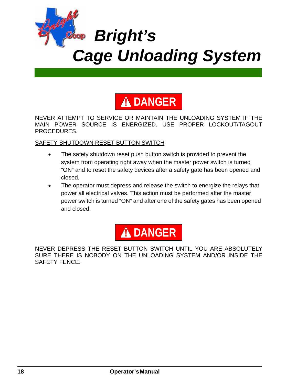



NEVER ATTEMPT TO SERVICE OR MAINTAIN THE UNLOADING SYSTEM IF THE MAIN POWER SOURCE IS ENERGIZED. USE PROPER LOCKOUT/TAGOUT PROCEDURES.

#### SAFETY SHUTDOWN RESET BUTTON SWITCH

- The safety shutdown reset push button switch is provided to prevent the system from operating right away when the master power switch is turned "ON" and to reset the safety devices after a safety gate has been opened and closed.
- The operator must depress and release the switch to energize the relays that power all electrical valves. This action must be performed after the master power switch is turned "ON" and after one of the safety gates has been opened and closed.



NEVER DEPRESS THE RESET BUTTON SWITCH UNTIL YOU ARE ABSOLUTELY SURE THERE IS NOBODY ON THE UNLOADING SYSTEM AND/OR INSIDE THE SAFETY FENCE.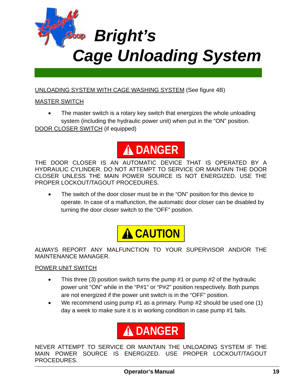

#### UNLOADING SYSTEM WITH CAGE WASHING SYSTEM (See figure 4B)

#### MASTER SWITCH

• The master switch is a rotary key switch that energizes the whole unloading system (including the hydraulic power unit) when put in the "ON" position. DOOR CLOSER SWITCH (if equipped)



THE DOOR CLOSER IS AN AUTOMATIC DEVICE THAT IS OPERATED BY A HYDRAULIC CYLINDER. DO NOT ATTEMPT TO SERVICE OR MAINTAIN THE DOOR CLOSER UNLESS THE MAIN POWER SOURCE IS NOT ENERGIZED. USE THE PROPER LOCKOUT/TAGOUT PROCEDURES.

The switch of the door closer must be in the "ON" position for this device to operate. In case of a malfunction, the automatic door closer can be disabled by turning the door closer switch to the "OFF" position.



ALWAYS REPORT ANY MALFUNCTION TO YOUR SUPERVISOR AND/OR THE MAINTENANCE MANAGER.

#### POWER UNIT SWITCH

- This three (3) position switch turns the pump #1 or pump #2 of the hydraulic power unit "ON" while in the "P#1" or "P#2" position respectively. Both pumps are not energized if the power unit switch is in the "OFF" position.
- We recommend using pump #1 as a primary. Pump #2 should be used one (1) day a week to make sure it is in working condition in case pump #1 fails.



NEVER ATTEMPT TO SERVICE OR MAINTAIN THE UNLOADING SYSTEM IF THE MAIN POWER SOURCE IS ENERGIZED. USE PROPER LOCKOUT/TAGOUT PROCEDURES.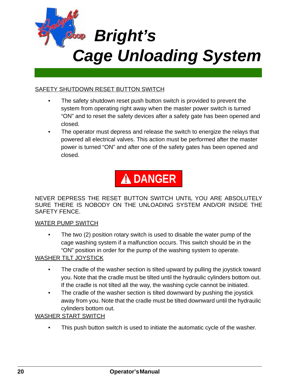

#### SAFETY SHUTDOWN RESET BUTTON SWITCH

- The safety shutdown reset push button switch is provided to prevent the system from operating right away when the master power switch is turned "ON" and to reset the safety devices after a safety gate has been opened and closed.
- The operator must depress and release the switch to energize the relays that powered all electrical valves. This action must be performed after the master power is turned "ON" and after one of the safety gates has been opened and closed.



NEVER DEPRESS THE RESET BUTTON SWITCH UNTIL YOU ARE ABSOLUTELY SURE THERE IS NOBODY ON THE UNLOADING SYSTEM AND/OR INSIDE THE SAFETY FENCE.

#### WATER PUMP SWITCH

• The two (2) position rotary switch is used to disable the water pump of the cage washing system if a malfunction occurs. This switch should be in the "ON" position in order for the pump of the washing system to operate.

#### WASHER TILT JOYSTICK

- The cradle of the washer section is tilted upward by pulling the joystick toward you. Note that the cradle must be tilted until the hydraulic cylinders bottom out. If the cradle is not tilted all the way, the washing cycle cannot be initiated.
- The cradle of the washer section is tilted downward by pushing the joystick away from you. Note that the cradle must be tilted downward until the hydraulic cylinders bottom out.

#### WASHER START SWITCH

This push button switch is used to initiate the automatic cycle of the washer.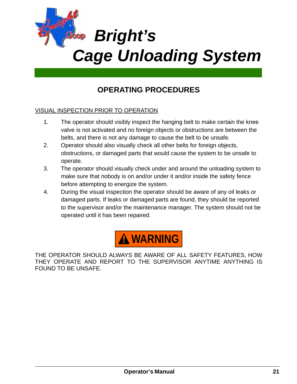

## **OPERATING PROCEDURES**

#### VISUAL INSPECTION PRIOR TO OPERATION

- 1. The operator should visibly inspect the hanging belt to make certain the knee valve is not activated and no foreign objects or obstructions are between the belts, and there is not any damage to cause the belt to be unsafe.
- 2. Operator should also visually check all other belts for foreign objects, obstructions, or damaged parts that would cause the system to be unsafe to operate.
- 3. The operator should visually check under and around the unloading system to make sure that nobody is on and/or under it and/or inside the safety fence before attempting to energize the system.
- 4. During the visual inspection the operator should be aware of any oil leaks or damaged parts. If leaks or damaged parts are found, they should be reported to the supervisor and/or the maintenance manager. The system should not be operated until it has been repaired.



THE OPERATOR SHOULD ALWAYS BE AWARE OF ALL SAFETY FEATURES, HOW THEY OPERATE AND REPORT TO THE SUPERVISOR ANYTIME ANYTHING IS FOUND TO BE UNSAFE.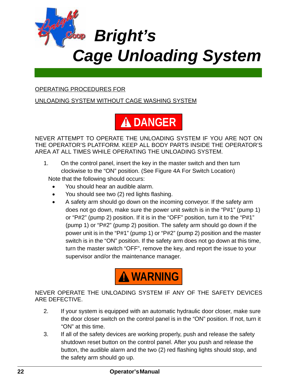

#### OPERATING PROCEDURES FOR

UNLOADING SYSTEM WITHOUT CAGE WASHING SYSTEM



NEVER ATTEMPT TO OPERATE THE UNLOADING SYSTEM IF YOU ARE NOT ON THE OPERATOR'S PLATFORM. KEEP ALL BODY PARTS INSIDE THE OPERATOR'S AREA AT ALL TIMES WHILE OPERATING THE UNLOADING SYSTEM.

- 1. On the control panel, insert the key in the master switch and then turn clockwise to the "ON" position. (See Figure 4A For Switch Location) Note that the following should occurs:
	- You should hear an audible alarm.
	- You should see two (2) red lights flashing.
	- A safety arm should go down on the incoming conveyor. If the safety arm does not go down, make sure the power unit switch is in the "P#1" (pump 1) or "P#2" (pump 2) position. If it is in the "OFF" position, turn it to the "P#1" (pump 1) or "P#2" (pump 2) position. The safety arm should go down if the power unit is in the "P#1" (pump 1) or "P#2" (pump 2) position and the master switch is in the "ON" position. If the safety arm does not go down at this time, turn the master switch "OFF", remove the key, and report the issue to your supervisor and/or the maintenance manager.



NEVER OPERATE THE UNLOADING SYSTEM IF ANY OF THE SAFETY DEVICES ARE DEFECTIVE.

- 2. If your system is equipped with an automatic hydraulic door closer, make sure the door closer switch on the control panel is in the "ON" position. If not, turn it "ON" at this time.
- 3. If all of the safety devices are working properly, push and release the safety shutdown reset button on the control panel. After you push and release the button, the audible alarm and the two (2) red flashing lights should stop, and the safety arm should go up.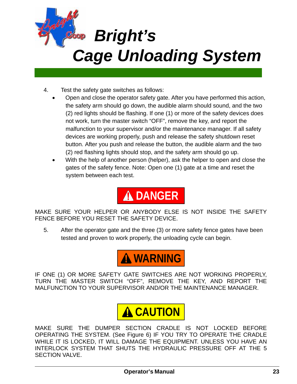

- 4. Test the safety gate switches as follows:
	- Open and close the operator safety gate. After you have performed this action, the safety arm should go down, the audible alarm should sound, and the two (2) red lights should be flashing. If one (1) or more of the safety devices does not work, turn the master switch "OFF", remove the key, and report the malfunction to your supervisor and/or the maintenance manager. If all safety devices are working properly, push and release the safety shutdown reset button. After you push and release the button, the audible alarm and the two (2) red flashing lights should stop, and the safety arm should go up.
	- With the help of another person (helper), ask the helper to open and close the gates of the safety fence. Note: Open one (1) gate at a time and reset the system between each test.

# **A DANGER**

MAKE SURE YOUR HELPER OR ANYBODY ELSE IS NOT INSIDE THE SAFETY FENCE BEFORE YOU RESET THE SAFETY DEVICE.

5. After the operator gate and the three (3) or more safety fence gates have been tested and proven to work properly, the unloading cycle can begin.



IF ONE (1) OR MORE SAFETY GATE SWITCHES ARE NOT WORKING PROPERLY, TURN THE MASTER SWITCH "OFF", REMOVE THE KEY, AND REPORT THE MALFUNCTION TO YOUR SUPERVISOR AND/OR THE MAINTENANCE MANAGER.



MAKE SURE THE DUMPER SECTION CRADLE IS NOT LOCKED BEFORE OPERATING THE SYSTEM. (See Figure 6) IF YOU TRY TO OPERATE THE CRADLE WHILE IT IS LOCKED, IT WILL DAMAGE THE EQUIPMENT. UNLESS YOU HAVE AN INTERLOCK SYSTEM THAT SHUTS THE HYDRAULIC PRESSURE OFF AT THE 5 SECTION VALVE.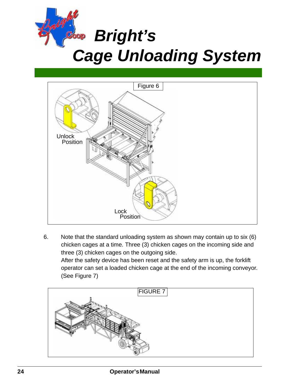



6. Note that the standard unloading system as shown may contain up to six (6) chicken cages at a time. Three (3) chicken cages on the incoming side and three (3) chicken cages on the outgoing side. After the safety device has been reset and the safety arm is up, the forklift operator can set a loaded chicken cage at the end of the incoming conveyor. (See Figure 7)

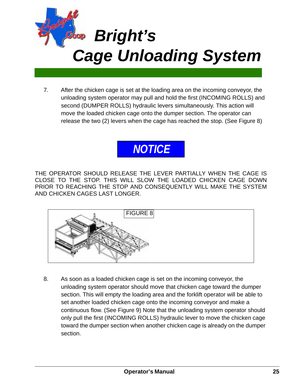

7. After the chicken cage is set at the loading area on the incoming conveyor, the unloading system operator may pull and hold the first (INCOMING ROLLS) and second (DUMPER ROLLS) hydraulic levers simultaneously. This action will move the loaded chicken cage onto the dumper section. The operator can release the two (2) levers when the cage has reached the stop. (See Figure 8)

# *NOTICE*

THE OPERATOR SHOULD RELEASE THE LEVER PARTIALLY WHEN THE CAGE IS CLOSE TO THE STOP. THIS WILL SLOW THE LOADED CHICKEN CAGE DOWN PRIOR TO REACHING THE STOP AND CONSEQUENTLY WILL MAKE THE SYSTEM AND CHICKEN CAGES LAST LONGER.



8. As soon as a loaded chicken cage is set on the incoming conveyor, the unloading system operator should move that chicken cage toward the dumper section. This will empty the loading area and the forklift operator will be able to set another loaded chicken cage onto the incoming conveyor and make a continuous flow. (See Figure 9) Note that the unloading system operator should only pull the first (INCOMING ROLLS) hydraulic lever to move the chicken cage toward the dumper section when another chicken cage is already on the dumper section.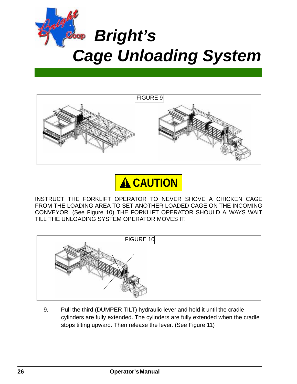





INSTRUCT THE FORKLIFT OPERATOR TO NEVER SHOVE A CHICKEN CAGE FROM THE LOADING AREA TO SET ANOTHER LOADED CAGE ON THE INCOMING CONVEYOR. (See Figure 10) THE FORKLIFT OPERATOR SHOULD ALWAYS WAIT TILL THE UNLOADING SYSTEM OPERATOR MOVES IT.



9. Pull the third (DUMPER TILT) hydraulic lever and hold it until the cradle cylinders are fully extended. The cylinders are fully extended when the cradle stops tilting upward. Then release the lever. (See Figure 11)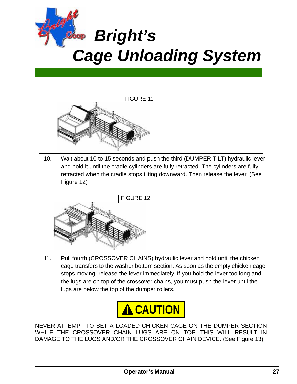



10. Wait about 10 to 15 seconds and push the third (DUMPER TILT) hydraulic lever and hold it until the cradle cylinders are fully retracted. The cylinders are fully retracted when the cradle stops tilting downward. Then release the lever. (See Figure 12)



11. Pull fourth (CROSSOVER CHAINS) hydraulic lever and hold until the chicken cage transfers to the washer bottom section. As soon as the empty chicken cage stops moving, release the lever immediately. If you hold the lever too long and the lugs are on top of the crossover chains, you must push the lever until the lugs are below the top of the dumper rollers.



NEVER ATTEMPT TO SET A LOADED CHICKEN CAGE ON THE DUMPER SECTION WHILE THE CROSSOVER CHAIN LUGS ARE ON TOP. THIS WILL RESULT IN DAMAGE TO THE LUGS AND/OR THE CROSSOVER CHAIN DEVICE. (See Figure 13)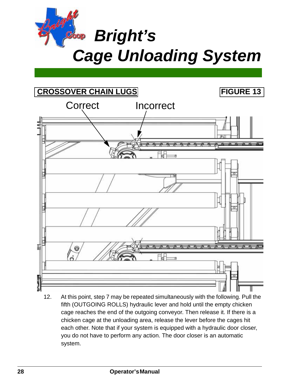



12. At this point, step 7 may be repeated simultaneously with the following. Pull the fifth (OUTGOING ROLLS) hydraulic lever and hold until the empty chicken cage reaches the end of the outgoing conveyor. Then release it. If there is a chicken cage at the unloading area, release the lever before the cages hit each other. Note that if your system is equipped with a hydraulic door closer, you do not have to perform any action. The door closer is an automatic system.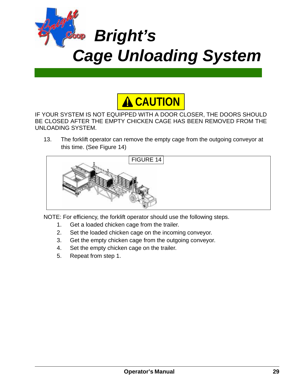



IF YOUR SYSTEM IS NOT EQUIPPED WITH A DOOR CLOSER, THE DOORS SHOULD BE CLOSED AFTER THE EMPTY CHICKEN CAGE HAS BEEN REMOVED FROM THE UNLOADING SYSTEM.

13. The forklift operator can remove the empty cage from the outgoing conveyor at this time. (See Figure 14)



NOTE: For efficiency, the forklift operator should use the following steps.

- 1. Get a loaded chicken cage from the trailer.
- 2. Set the loaded chicken cage on the incoming conveyor.
- 3. Get the empty chicken cage from the outgoing conveyor.
- 4. Set the empty chicken cage on the trailer.
- 5. Repeat from step 1.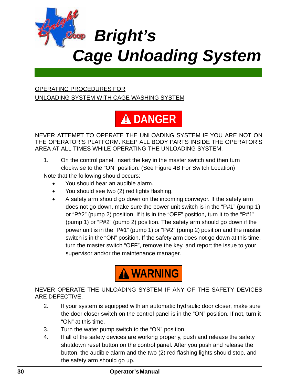

#### OPERATING PROCEDURES FOR UNLOADING SYSTEM WITH CAGE WASHING SYSTEM



NEVER ATTEMPT TO OPERATE THE UNLOADING SYSTEM IF YOU ARE NOT ON THE OPERATOR'S PLATFORM. KEEP ALL BODY PARTS INSIDE THE OPERATOR'S AREA AT ALL TIMES WHILE OPERATING THE UNLOADING SYSTEM.

1. On the control panel, insert the key in the master switch and then turn clockwise to the "ON" position. (See Figure 4B For Switch Location)

Note that the following should occurs:

- You should hear an audible alarm.
- You should see two (2) red lights flashing.
- A safety arm should go down on the incoming conveyor. If the safety arm does not go down, make sure the power unit switch is in the "P#1" (pump 1) or "P#2" (pump 2) position. If it is in the "OFF" position, turn it to the "P#1" (pump 1) or "P#2" (pump 2) position. The safety arm should go down if the power unit is in the "P#1" (pump 1) or "P#2" (pump 2) position and the master switch is in the "ON" position. If the safety arm does not go down at this time, turn the master switch "OFF", remove the key, and report the issue to your supervisor and/or the maintenance manager.



NEVER OPERATE THE UNLOADING SYSTEM IF ANY OF THE SAFETY DEVICES ARE DEFECTIVE.

- 2. If your system is equipped with an automatic hydraulic door closer, make sure the door closer switch on the control panel is in the "ON" position. If not, turn it "ON" at this time.
- 3. Turn the water pump switch to the "ON" position.
- 4. If all of the safety devices are working properly, push and release the safety shutdown reset button on the control panel. After you push and release the button, the audible alarm and the two (2) red flashing lights should stop, and the safety arm should go up.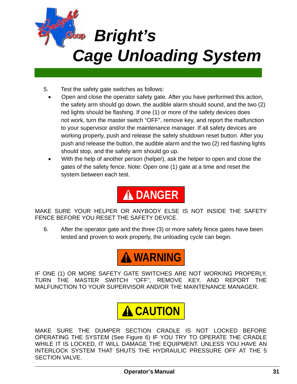

- 5. Test the safety gate switches as follows:
	- Open and close the operator safety gate. After you have performed this action, the safety arm should go down, the audible alarm should sound, and the two (2) red lights should be flashing. If one (1) or more of the safety devices does not work, turn the master switch "OFF", remove key, and report the malfunction to your supervisor and/or the maintenance manager. If all safety devices are working properly, push and release the safety shutdown reset button. After you push and release the button, the audible alarm and the two (2) red flashing lights should stop, and the safety arm should go up.
	- With the help of another person (helper), ask the helper to open and close the gates of the safety fence. Note: Open one (1) gate at a time and reset the system between each test.

**A DANGER** 

MAKE SURE YOUR HELPER OR ANYBODY ELSE IS NOT INSIDE THE SAFETY FENCE BEFORE YOU RESET THE SAFETY DEVICE.

6. After the operator gate and the three (3) or more safety fence gates have been tested and proven to work properly, the unloading cycle can begin.



IF ONE (1) OR MORE SAFETY GATE SWITCHES ARE NOT WORKING PROPERLY, TURN THE MASTER SWITCH "OFF", REMOVE KEY, AND REPORT THE MALFUNCTION TO YOUR SUPERVISOR AND/OR THE MAINTENANCE MANAGER.



MAKE SURE THE DUMPER SECTION CRADLE IS NOT LOCKED BEFORE OPERATING THE SYSTEM (See Figure 6) IF YOU TRY TO OPERATE THE CRADLE WHILE IT IS LOCKED, IT WILL DAMAGE THE EQUIPMENT. UNLESS YOU HAVE AN INTERLOCK SYSTEM THAT SHUTS THE HYDRAULIC PRESSURE OFF AT THE 5 SECTION VALVE.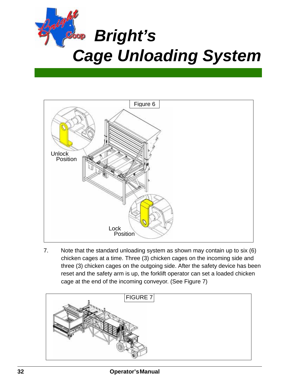



7. Note that the standard unloading system as shown may contain up to six (6) chicken cages at a time. Three (3) chicken cages on the incoming side and three (3) chicken cages on the outgoing side. After the safety device has been reset and the safety arm is up, the forklift operator can set a loaded chicken cage at the end of the incoming conveyor. (See Figure 7)

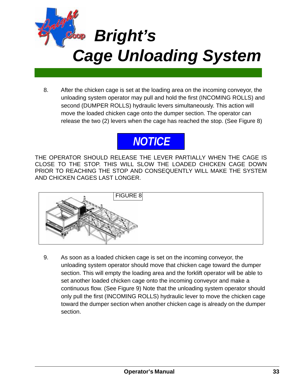

8. After the chicken cage is set at the loading area on the incoming conveyor, the unloading system operator may pull and hold the first (INCOMING ROLLS) and second (DUMPER ROLLS) hydraulic levers simultaneously. This action will move the loaded chicken cage onto the dumper section. The operator can release the two (2) levers when the cage has reached the stop. (See Figure 8)



THE OPERATOR SHOULD RELEASE THE LEVER PARTIALLY WHEN THE CAGE IS CLOSE TO THE STOP. THIS WILL SLOW THE LOADED CHICKEN CAGE DOWN PRIOR TO REACHING THE STOP AND CONSEQUENTLY WILL MAKE THE SYSTEM AND CHICKEN CAGES LAST LONGER.



9. As soon as a loaded chicken cage is set on the incoming conveyor, the unloading system operator should move that chicken cage toward the dumper section. This will empty the loading area and the forklift operator will be able to set another loaded chicken cage onto the incoming conveyor and make a continuous flow. (See Figure 9) Note that the unloading system operator should only pull the first (INCOMING ROLLS) hydraulic lever to move the chicken cage toward the dumper section when another chicken cage is already on the dumper section.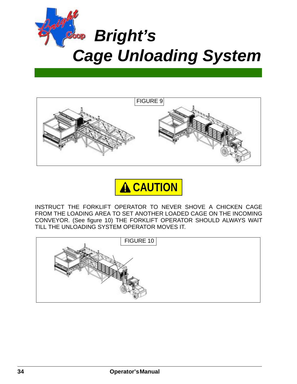





INSTRUCT THE FORKLIFT OPERATOR TO NEVER SHOVE A CHICKEN CAGE FROM THE LOADING AREA TO SET ANOTHER LOADED CAGE ON THE INCOMING CONVEYOR. (See figure 10) THE FORKLIFT OPERATOR SHOULD ALWAYS WAIT TILL THE UNLOADING SYSTEM OPERATOR MOVES IT.

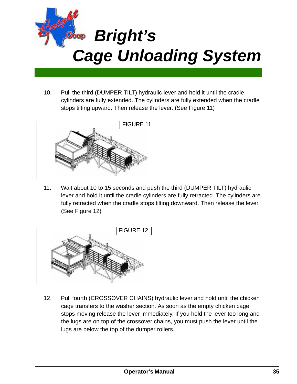

10. Pull the third (DUMPER TILT) hydraulic lever and hold it until the cradle cylinders are fully extended. The cylinders are fully extended when the cradle stops tilting upward. Then release the lever. (See Figure 11)



11. Wait about 10 to 15 seconds and push the third (DUMPER TILT) hydraulic lever and hold it until the cradle cylinders are fully retracted. The cylinders are fully retracted when the cradle stops tilting downward. Then release the lever. (See Figure 12)



12. Pull fourth (CROSSOVER CHAINS) hydraulic lever and hold until the chicken cage transfers to the washer section. As soon as the empty chicken cage stops moving release the lever immediately. If you hold the lever too long and the lugs are on top of the crossover chains, you must push the lever until the lugs are below the top of the dumper rollers.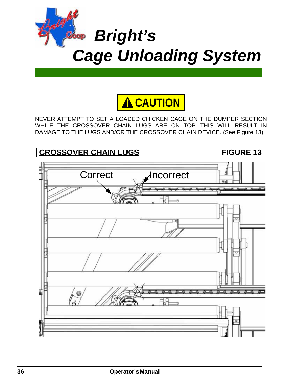



NEVER ATTEMPT TO SET A LOADED CHICKEN CAGE ON THE DUMPER SECTION WHILE THE CROSSOVER CHAIN LUGS ARE ON TOP. THIS WILL RESULT IN DAMAGE TO THE LUGS AND/OR THE CROSSOVER CHAIN DEVICE. (See Figure 13)

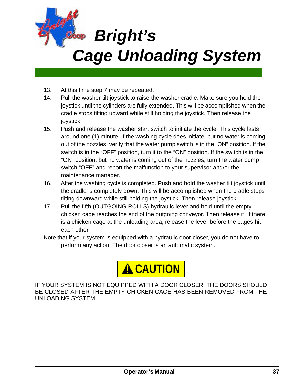

- 13. At this time step 7 may be repeated.
- 14. Pull the washer tilt joystick to raise the washer cradle. Make sure you hold the joystick until the cylinders are fully extended. This will be accomplished when the cradle stops tilting upward while still holding the joystick. Then release the joystick.
- 15. Push and release the washer start switch to initiate the cycle. This cycle lasts around one (1) minute. If the washing cycle does initiate, but no water is coming out of the nozzles, verify that the water pump switch is in the "ON" position. If the switch is in the "OFF" position, turn it to the "ON" position. If the switch is in the "ON" position, but no water is coming out of the nozzles, turn the water pump switch "OFF" and report the malfunction to your supervisor and/or the maintenance manager.
- 16. After the washing cycle is completed. Push and hold the washer tilt joystick until the cradle is completely down. This will be accomplished when the cradle stops tilting downward while still holding the joystick. Then release joystick.
- 17. Pull the fifth (OUTGOING ROLLS) hydraulic lever and hold until the empty chicken cage reaches the end of the outgoing conveyor. Then release it. If there is a chicken cage at the unloading area, release the lever before the cages hit each other
- Note that if your system is equipped with a hydraulic door closer, you do not have to perform any action. The door closer is an automatic system.



IF YOUR SYSTEM IS NOT EQUIPPED WITH A DOOR CLOSER, THE DOORS SHOULD BE CLOSED AFTER THE EMPTY CHICKEN CAGE HAS BEEN REMOVED FROM THE UNLOADING SYSTEM.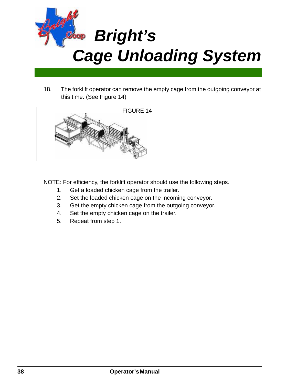

18. The forklift operator can remove the empty cage from the outgoing conveyor at this time. (See Figure 14)



NOTE: For efficiency, the forklift operator should use the following steps.

- 1. Get a loaded chicken cage from the trailer.
- 2. Set the loaded chicken cage on the incoming conveyor.
- 3. Get the empty chicken cage from the outgoing conveyor.
- 4. Set the empty chicken cage on the trailer.
- 5. Repeat from step 1.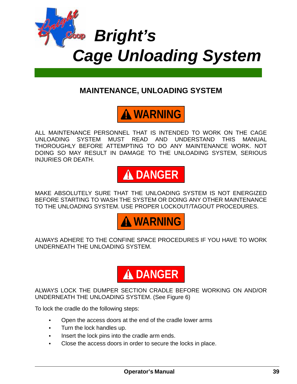

## **MAINTENANCE, UNLOADING SYSTEM**



ALL MAINTENANCE PERSONNEL THAT IS INTENDED TO WORK ON THE CAGE UNLOADING SYSTEM MUST READ AND UNDERSTAND THIS MANUAL THOROUGHLY BEFORE ATTEMPTING TO DO ANY MAINTENANCE WORK. NOT DOING SO MAY RESULT IN DAMAGE TO THE UNLOADING SYSTEM, SERIOUS INJURIES OR DEATH.



MAKE ABSOLUTELY SURE THAT THE UNLOADING SYSTEM IS NOT ENERGIZED BEFORE STARTING TO WASH THE SYSTEM OR DOING ANY OTHER MAINTENANCE TO THE UNLOADING SYSTEM. USE PROPER LOCKOUT/TAGOUT PROCEDURES.



ALWAYS ADHERE TO THE CONFINE SPACE PROCEDURES IF YOU HAVE TO WORK UNDERNEATH THE UNLOADING SYSTEM.



ALWAYS LOCK THE DUMPER SECTION CRADLE BEFORE WORKING ON AND/OR UNDERNEATH THE UNLOADING SYSTEM. (See Figure 6)

To lock the cradle do the following steps:

- **•** Open the access doors at the end of the cradle lower arms
- **•** Turn the lock handles up.
- **•** Insert the lock pins into the cradle arm ends.
- **•** Close the access doors in order to secure the locks in place.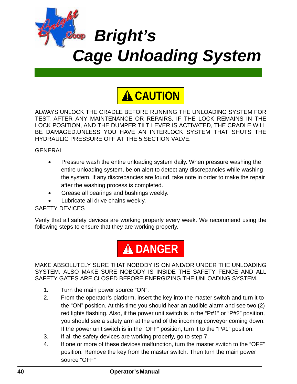



ALWAYS UNLOCK THE CRADLE BEFORE RUNNING THE UNLOADING SYSTEM FOR TEST, AFTER ANY MAINTENANCE OR REPAIRS. IF THE LOCK REMAINS IN THE LOCK POSITION, AND THE DUMPER TILT LEVER IS ACTIVATED, THE CRADLE WILL BE DAMAGED.UNLESS YOU HAVE AN INTERLOCK SYSTEM THAT SHUTS THE HYDRAULIC PRESSURE OFF AT THE 5 SECTION VALVE.

#### GENERAL

- Pressure wash the entire unloading system daily. When pressure washing the entire unloading system, be on alert to detect any discrepancies while washing the system. If any discrepancies are found, take note in order to make the repair after the washing process is completed.
- Grease all bearings and bushings weekly.
- Lubricate all drive chains weekly.

#### SAFETY DEVICES

Verify that all safety devices are working properly every week. We recommend using the following steps to ensure that they are working properly.



MAKE ABSOLUTELY SURE THAT NOBODY IS ON AND/OR UNDER THE UNLOADING SYSTEM. ALSO MAKE SURE NOBODY IS INSIDE THE SAFETY FENCE AND ALL SAFETY GATES ARE CLOSED BEFORE ENERGIZING THE UNLOADING SYSTEM.

- 1. Turn the main power source "ON".
- 2. From the operator's platform, insert the key into the master switch and turn it to the "ON" position. At this time you should hear an audible alarm and see two (2) red lights flashing. Also, if the power unit switch is in the "P#1" or "P#2" position, you should see a safety arm at the end of the incoming conveyor coming down. If the power unit switch is in the "OFF" position, turn it to the "P#1" position.
- 3. If all the safety devices are working properly, go to step 7.
- 4. If one or more of these devices malfunction, turn the master switch to the "OFF" position. Remove the key from the master switch. Then turn the main power source "OFF"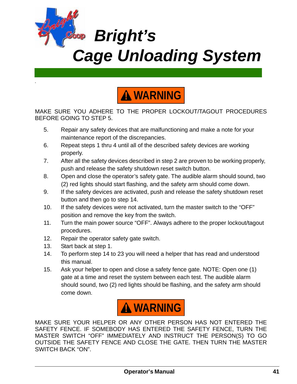



MAKE SURE YOU ADHERE TO THE PROPER LOCKOUT/TAGOUT PROCEDURES BEFORE GOING TO STEP 5.

- 5. Repair any safety devices that are malfunctioning and make a note for your maintenance report of the discrepancies.
- 6. Repeat steps 1 thru 4 until all of the described safety devices are working properly.
- 7. After all the safety devices described in step 2 are proven to be working properly, push and release the safety shutdown reset switch button.
- 8. Open and close the operator's safety gate. The audible alarm should sound, two (2) red lights should start flashing, and the safety arm should come down.
- 9. If the safety devices are activated, push and release the safety shutdown reset button and then go to step 14.
- 10. If the safety devices were not activated, turn the master switch to the "OFF" position and remove the key from the switch.
- 11. Turn the main power source "OFF". Always adhere to the proper lockout/tagout procedures.
- 12. Repair the operator safety gate switch.
- 13. Start back at step 1.

**.**

- 14. To perform step 14 to 23 you will need a helper that has read and understood this manual.
- 15. Ask your helper to open and close a safety fence gate. NOTE: Open one (1) gate at a time and reset the system between each test. The audible alarm should sound, two (2) red lights should be flashing, and the safety arm should come down.



MAKE SURE YOUR HELPER OR ANY OTHER PERSON HAS NOT ENTERED THE SAFETY FENCE. IF SOMEBODY HAS ENTERED THE SAFETY FENCE, TURN THE MASTER SWITCH "OFF" IMMEDIATELY AND INSTRUCT THE PERSON(S) TO GO OUTSIDE THE SAFETY FENCE AND CLOSE THE GATE. THEN TURN THE MASTER SWITCH BACK "ON".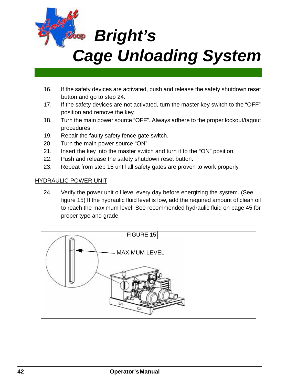

- 16. If the safety devices are activated, push and release the safety shutdown reset button and go to step 24.
- 17. If the safety devices are not activated, turn the master key switch to the "OFF" position and remove the key.
- 18. Turn the main power source "OFF". Always adhere to the proper lockout/tagout procedures.
- 19. Repair the faulty safety fence gate switch.
- 20. Turn the main power source "ON".
- 21. Insert the key into the master switch and turn it to the "ON" position.
- 22. Push and release the safety shutdown reset button.
- 23. Repeat from step 15 until all safety gates are proven to work properly.

#### HYDRAULIC POWER UNIT

24. Verify the power unit oil level every day before energizing the system. (See figure 15) If the hydraulic fluid level is low, add the required amount of clean oil to reach the maximum level. See recommended hydraulic fluid on page 45 for proper type and grade.

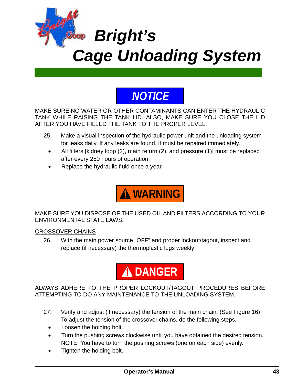

## *NOTICE*

MAKE SURE NO WATER OR OTHER CONTAMINANTS CAN ENTER THE HYDRAULIC TANK WHILE RAISING THE TANK LID. ALSO, MAKE SURE YOU CLOSE THE LID AFTER YOU HAVE FILLED THE TANK TO THE PROPER LEVEL.

- 25. Make a visual inspection of the hydraulic power unit and the unloading system for leaks daily. If any leaks are found, it must be repaired immediately.
	- All filters [kidney loop (2), main return (2), and pressure (1)] must be replaced after every 250 hours of operation.
	- Replace the hydraulic fluid once a year.



MAKE SURE YOU DISPOSE OF THE USED OIL AND FILTERS ACCORDING TO YOUR ENVIRONMENTAL STATE LAWS.

#### CROSSOVER CHAINS

**.**

26. With the main power source "OFF" and proper lockout/tagout, inspect and replace (if necessary) the thermoplastic lugs weekly



ALWAYS ADHERE TO THE PROPER LOCKOUT/TAGOUT PROCEDURES BEFORE ATTEMPTING TO DO ANY MAINTENANCE TO THE UNLOADING SYSTEM.

- 27. Verify and adjust (if necessary) the tension of the main chain. (See Figure 16) To adjust the tension of the crossover chains, do the following steps.
	- Loosen the holding bolt.
	- Turn the pushing screws clockwise until you have obtained the desired tension. NOTE: You have to turn the pushing screws (one on each side) evenly.
	- Tighten the holding bolt.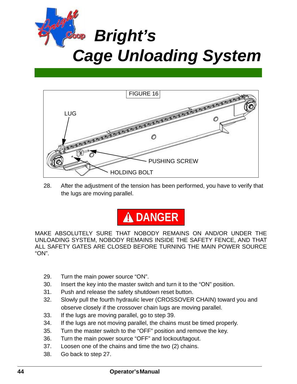



28. After the adjustment of the tension has been performed, you have to verify that the lugs are moving parallel.



MAKE ABSOLUTELY SURE THAT NOBODY REMAINS ON AND/OR UNDER THE UNLOADING SYSTEM, NOBODY REMAINS INSIDE THE SAFETY FENCE, AND THAT ALL SAFETY GATES ARE CLOSED BEFORE TURNING THE MAIN POWER SOURCE "ON".

- 29. Turn the main power source "ON".
- 30. Insert the key into the master switch and turn it to the "ON" position.
- 31. Push and release the safety shutdown reset button.
- 32. Slowly pull the fourth hydraulic lever (CROSSOVER CHAIN) toward you and observe closely if the crossover chain lugs are moving parallel.
- 33. If the lugs are moving parallel, go to step 39.
- 34. If the lugs are not moving parallel, the chains must be timed properly.
- 35. Turn the master switch to the "OFF" position and remove the key.
- 36. Turn the main power source "OFF" and lockout/tagout.
- 37. Loosen one of the chains and time the two (2) chains.
- 38. Go back to step 27.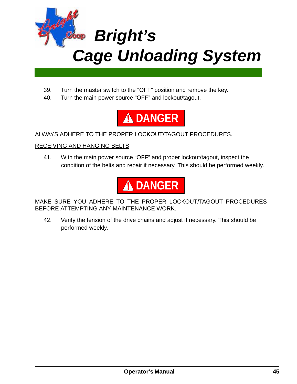

- 39. Turn the master switch to the "OFF" position and remove the key.
- 40. Turn the main power source "OFF" and lockout/tagout.



ALWAYS ADHERE TO THE PROPER LOCKOUT/TAGOUT PROCEDURES.

#### RECEIVING AND HANGING BELTS

41. With the main power source "OFF" and proper lockout/tagout, inspect the condition of the belts and repair if necessary. This should be performed weekly.



MAKE SURE YOU ADHERE TO THE PROPER LOCKOUT/TAGOUT PROCEDURES BEFORE ATTEMPTING ANY MAINTENANCE WORK.

42. Verify the tension of the drive chains and adjust if necessary. This should be performed weekly.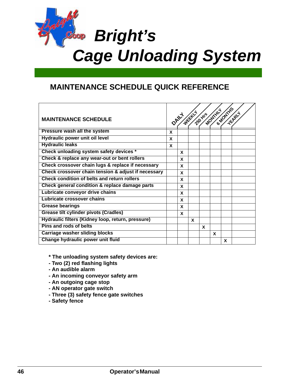

### **MAINTENANCE SCHEDULE QUICK REFERENCE**

| <b>MAINTENANCE SCHEDULE</b>                         |              |   | OANY WEEK | 250 Hrs | MONTHL |   | <b>SMONTHS</b> |
|-----------------------------------------------------|--------------|---|-----------|---------|--------|---|----------------|
| <b>Pressure wash all the system</b>                 | $\mathbf{x}$ |   |           |         |        |   |                |
| Hydraulic power unit oil level                      | X            |   |           |         |        |   |                |
| <b>Hydraulic leaks</b>                              | X            |   |           |         |        |   |                |
| Check unloading system safety devices *             |              | X |           |         |        |   |                |
| Check & replace any wear-out or bent rollers        |              | X |           |         |        |   |                |
| Check crossover chain lugs & replace if necessary   |              | X |           |         |        |   |                |
| Check crossover chain tension & adjust if necessary |              | X |           |         |        |   |                |
| Check condition of belts and return rollers         |              | X |           |         |        |   |                |
| Check general condition & replace damage parts      |              | X |           |         |        |   |                |
| Lubricate conveyor drive chains                     |              | X |           |         |        |   |                |
| Lubricate crossover chains                          |              | X |           |         |        |   |                |
| <b>Grease bearings</b>                              |              | X |           |         |        |   |                |
| <b>Grease tilt cylinder pivots (Cradles)</b>        |              | X |           |         |        |   |                |
| Hydraulic filters (Kidney loop, return, pressure)   |              |   | X         |         |        |   |                |
| <b>Pins and rods of belts</b>                       |              |   |           | X       |        |   |                |
| <b>Carriage washer sliding blocks</b>               |              |   |           |         | X      |   |                |
| Change hydraulic power unit fluid                   |              |   |           |         |        | X |                |

- **\* The unloading system safety devices are:**
- **Two (2) red flashing lights**
- **An audible alarm**
- **An incoming conveyor safety arm**
- **An outgoing cage stop**
- **AN operator gate switch**
- **Three (3) safety fence gate switches**
- **Safety fence**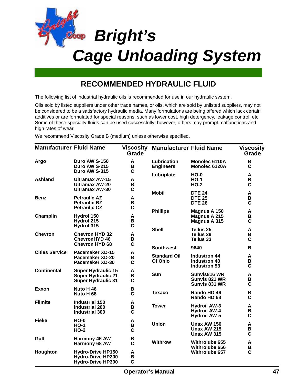

## **RECOMMENDED HYDRAULIC FLUID**

The following list of industrial hydraulic oils is recommended for use in our hydraulic system.

Oils sold by listed suppliers under other trade names, or oils, which are sold by unlisted suppliers, may not be considered to be a satisfactory hydraulic media. Many formulations are being offered which lack certain additives or are formulated for special reasons, such as lower cost, high detergency, leakage control, etc. Some of these specialty fluids can be used successfully; however, others may prompt malfunctions and high rates of wear.

We recommend Viscosity Grade B (medium) unless otherwise specified.

| <b>Manufacturer Fluid Name</b> |                                                                                     | Grade                 | <b>Viscosity Manufacturer Fluid Name</b> |                                                                   | Viscosity<br>Grade                            |
|--------------------------------|-------------------------------------------------------------------------------------|-----------------------|------------------------------------------|-------------------------------------------------------------------|-----------------------------------------------|
| Argo                           | Duro AW S-150<br>Duro AW S-215<br>Duro AW S-315                                     | A<br>В<br>C           | Lubrication<br><b>Engineers</b>          | Monolec 6110A<br>Monolec 6120A                                    | B<br>C                                        |
| Ashland                        | <b>Ultramax AW-15</b><br><b>Ultramax AW-20</b><br><b>Ultramax AW-30</b>             | A<br>В<br>C           | Lubriplate                               | $HO-0$<br>$HO-1$<br>$HO-2$                                        | A<br>$\, {\bf B}$<br>$\overline{c}$           |
| <b>Benz</b>                    | <b>Petraulic AZ</b><br><b>Petraulic BZ</b><br><b>Petraulic CZ</b>                   | Α<br>B<br>C           | <b>Mobil</b>                             | <b>DTE 24</b><br><b>DTE 25</b><br><b>DTE 26</b>                   | A<br>B<br>$\mathbf c$                         |
| Champlin                       | Hydrol 150<br>Hydrol 215                                                            | A<br>B                | <b>Phillips</b>                          | Magnus A 150<br>Magnus A 215<br>Magnus A 315                      | A<br>B<br>C                                   |
| <b>Chevron</b>                 | Hydrol 315<br><b>Chevron HYD 32</b><br><b>ChevronHYD 46</b>                         | $\mathbf c$<br>A<br>B | <b>Shell</b>                             | Tellus 25<br>Tellus 29<br>Tellus 33                               | $\boldsymbol{\mathsf{A}}$<br>B<br>$\mathbf c$ |
|                                | <b>Chevron HYD 68</b>                                                               | $\mathbf c$           | <b>Southwest</b>                         | 9640                                                              | B                                             |
| <b>Cities Service</b>          | <b>Pacemaker XD-15</b><br><b>Pacemaker XD-20</b><br><b>Pacemaker XD-30</b>          | A<br>B<br>C           | <b>Standard Oil</b><br>Of Ohio           | <b>Industron 44</b><br><b>Industron 48</b><br>Industron 53        | A<br>B<br>C                                   |
| <b>Continental</b>             | <b>Super Hydraulic 15</b><br><b>Super Hydraulic 21</b><br><b>Super Hydraulic 31</b> | A<br>B<br>C           | <b>Sun</b>                               | Sunvis816 WR<br>Sunvis 821 WR<br>Sunvis 831 WR                    | A<br>B<br>C                                   |
| <b>Exxon</b>                   | Nuto H 46<br>Nuto H <sub>68</sub>                                                   | B<br>$\overline{c}$   | <b>Texaco</b>                            | Rando HD 46<br>Rando HD 68                                        | B<br>$\mathbf c$                              |
| <b>Filmite</b>                 | <b>Industrial 150</b><br><b>Industrial 200</b><br><b>Industrial 300</b>             | A<br>B<br>C           | <b>Tower</b>                             | <b>Hydroil AW-3</b><br><b>Hydroil AW-4</b><br><b>Hydroil AW-5</b> | A<br>B<br>$\mathbf c$                         |
| <b>Fieke</b>                   | $HO-0$<br>$HO-1$<br>$HO-2$                                                          | A<br>B<br>C           | <b>Union</b>                             | <b>Unax AW 150</b><br>Unax AW 215<br><b>Unax AW 315</b>           | A<br>В<br>C                                   |
| Gulf                           | Harmony 46 AW<br>Harmony 68 AW                                                      | B<br>$\mathbf c$      | <b>Withrow</b>                           | <b>Withrolube 655</b>                                             | A                                             |
| Houghton                       | <b>Hydro-Drive HP150</b><br><b>Hydro-Drive HP200</b><br><b>Hydro-Drive HP300</b>    | A<br>B<br>$\mathbf c$ |                                          | Withrolube 656<br><b>Withrolube 657</b>                           | B<br>$\mathbf c$                              |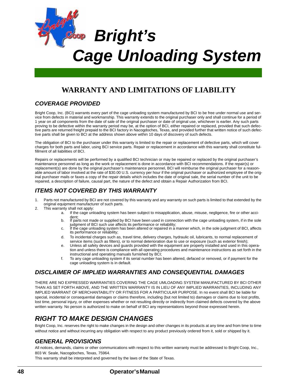

### **WARRANTY AND LIMITATIONS OF LIABILITY**

#### *COVERAGE PROVIDED*

Bright Coop, Inc. (BCI) warrants every part of the cage unloading system manufactured by BCI to be free under normal use and service from defects in material and workmanship. This warranty extends to the original purchaser only and shall continue for a period of 1 year on all components from the date of sale of the original purchaser or date of original use, whichever is earlier. Any such parts proving to be defective within the warranty period may be, at the option of BCI, either repaired or replaced, provided that such defective parts are returned freight prepaid to the BCI factory in Nacogdoches, Texas, and provided further that written notice of such defective parts shall be given to BCI at the address shown above within 10 days of discovery of such defects.

The obligation of BCI to the purchaser under this warranty is limited to the repair or replacement of defective parts, which will cover charges for both parts and labor, using BCI service parts. Repair or replacement in accordance with this warranty shall constitute fulfillment of all liabilities of BCI.

Repairs or replacements will be performed by a qualified BCI technician or may be repaired or replaced by the original purchaser's maintenance personnel as long as the work or replacement is done in accordance with BCI recommendations. If the repair(s) or replacement(s) are done by the original purchaser's maintenance personnel, BCI will reimburse the original purchaser for a reasonable amount of labor involved at the rate of \$30.00 U.S. currency per hour if the original purchaser or authorized employee of the original purchaser mails or faxes a copy of the repair details which includes the date of original sale, the serial number of the unit to be repaired, a description of failure, causal part, the nature of the defect and obtain a Repair Authorization from BCI.

#### *ITEMS NOT COVERED BY THIS WARRANTY*

- 1. Parts not manufactured by BCI are not covered by this warranty and any warranty on such parts is limited to that extended by the original equipment manufacturer of such parts.
- 2. This warranty shall not apply:
	- a. If the cage unloading system has been subject to misapplication, abuse, misuse, negligence, fire or other accident;<br>b. If parts not made or supplied by BCI have been used in connection with the cage unloading system, if in the sole
		- judgment of BCI such use affects its performance or reliability;
	- c. If the cage unloading system has been altered or repaired in a manner which, in the sole judgment of BCI, affects its performance or reliability;
	- d. To incidental charges such as, travel time, delivery charges, hydraulic oil, lubricants, to normal replacement of service items (such as filters), or to normal deterioration due to use or exposure (such as exterior finish);
	- e. Unless all safety devices and guards provided with the equipment are properly installed and used in this operation and unless there is compliance with all operating procedures and maintenance instructions as set forth in the instructional and operating manuals furnished by BCI;
	- f. To any cage unloading system if its serial number has been altered, defaced or removed, or if payment for the cage unloading system is in default.

#### *DISCLAIMER OF IMPLIED WARRANTIES AND CONSEQUENTIAL DAMAGES*

THERE ARE NO EXPRESSED WARRANTIES COVERING THE CAGE UMLOADING SYSTEM MANUFACTURED BY BCI OTHER THAN AS SET FORTH ABOVE, AND THE WRITTEN WARRANTY IS IN LIEU OF ANY IMPLIED WARRANTIES, INCLUDING ANY IMPLIED WARRANT OF MERCHANTABILITY OR FITNESS FOR A PARTICULAR PURPOSE. In no event shall BCI be liable for special, incidental or consequential damages or claims therefore, including (but not limited to) damages or claims due to lost profits, lost time, personal injury, or other expenses whether or not resulting directly or indirectly from claimed defects covered by the above written warranty. No person is authorized to make on behalf of BCI any representations beyond those expressed herein.

### *RIGHT TO MAKE DESIGN CHANGES*

Bright Coop, Inc. reserves the right to make changes in the design and other changes in its products at any time and from time to time without notice and without incurring any obligation with respect to any product previously ordered from it, sold or shipped by it.

#### *GENERAL PROVISIONS*

All notices, demands, claims or other communications with respect to this written warranty must be addressed to Bright Coop, Inc., 803 W. Seale, Nacogdoches, Texas, 75964.

This warranty shall be interpreted and governed by the laws of the State of Texas.